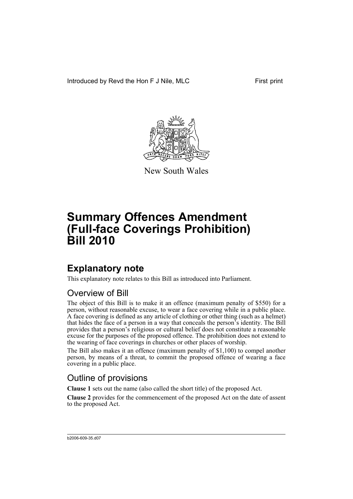Introduced by Revd the Hon F J Nile, MLC First print



New South Wales

# **Summary Offences Amendment (Full-face Coverings Prohibition) Bill 2010**

### **Explanatory note**

This explanatory note relates to this Bill as introduced into Parliament.

#### Overview of Bill

The object of this Bill is to make it an offence (maximum penalty of \$550) for a person, without reasonable excuse, to wear a face covering while in a public place. A face covering is defined as any article of clothing or other thing (such as a helmet) that hides the face of a person in a way that conceals the person's identity. The Bill provides that a person's religious or cultural belief does not constitute a reasonable excuse for the purposes of the proposed offence. The prohibition does not extend to the wearing of face coverings in churches or other places of worship.

The Bill also makes it an offence (maximum penalty of \$1,100) to compel another person, by means of a threat, to commit the proposed offence of wearing a face covering in a public place.

#### Outline of provisions

**Clause 1** sets out the name (also called the short title) of the proposed Act.

**Clause 2** provides for the commencement of the proposed Act on the date of assent to the proposed Act.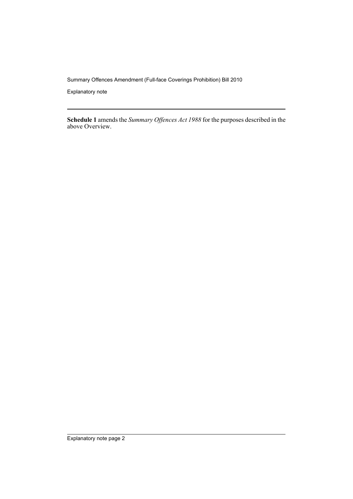Summary Offences Amendment (Full-face Coverings Prohibition) Bill 2010

Explanatory note

**Schedule 1** amends the *Summary Offences Act 1988* for the purposes described in the above Overview.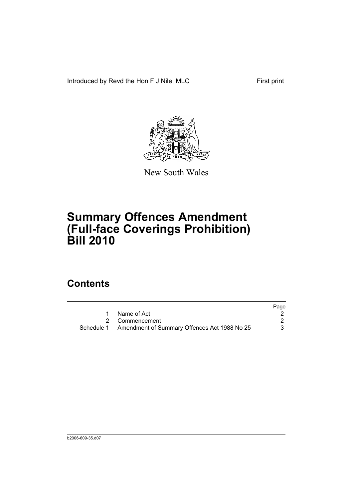Introduced by Revd the Hon F J Nile, MLC First print



New South Wales

## **Summary Offences Amendment (Full-face Coverings Prohibition) Bill 2010**

#### **Contents**

|                                                         | Page |
|---------------------------------------------------------|------|
| Name of Act                                             |      |
| 2 Commencement                                          |      |
| Schedule 1 Amendment of Summary Offences Act 1988 No 25 |      |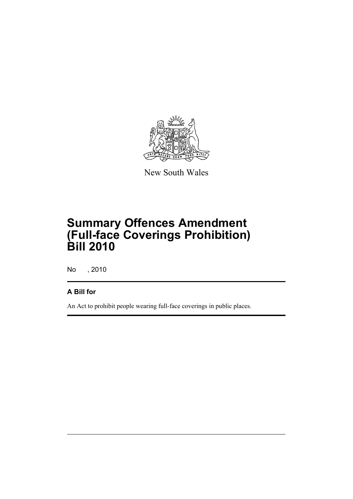

New South Wales

# **Summary Offences Amendment (Full-face Coverings Prohibition) Bill 2010**

No , 2010

#### **A Bill for**

An Act to prohibit people wearing full-face coverings in public places.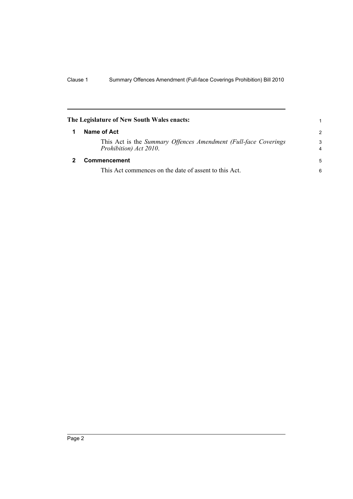<span id="page-5-1"></span><span id="page-5-0"></span>

| The Legislature of New South Wales enacts:                                                |                              |
|-------------------------------------------------------------------------------------------|------------------------------|
| Name of Act                                                                               | $\mathcal{P}$                |
| This Act is the Summary Offences Amendment (Full-face Coverings<br>Prohibition) Act 2010. | 3<br>$\overline{\mathbf{4}}$ |
| Commencement                                                                              | 5                            |
| This Act commences on the date of assent to this Act.                                     | 6                            |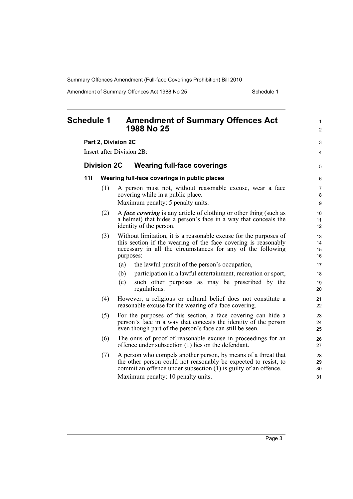Summary Offences Amendment (Full-face Coverings Prohibition) Bill 2010

Amendment of Summary Offences Act 1988 No 25 Schedule 1

<span id="page-6-0"></span>

| <b>Schedule 1</b> |                    | <b>Amendment of Summary Offences Act</b><br>1988 No 25                                                                                                                                                          | $\mathbf{1}$<br>$\overline{2}$ |
|-------------------|--------------------|-----------------------------------------------------------------------------------------------------------------------------------------------------------------------------------------------------------------|--------------------------------|
|                   |                    | Part 2, Division 2C                                                                                                                                                                                             | $\mathsf 3$                    |
|                   |                    | Insert after Division 2B:                                                                                                                                                                                       | 4                              |
|                   | <b>Division 2C</b> | <b>Wearing full-face coverings</b>                                                                                                                                                                              | 5                              |
| 111               |                    | Wearing full-face coverings in public places                                                                                                                                                                    | 6                              |
|                   | (1)                | A person must not, without reasonable excuse, wear a face<br>covering while in a public place.<br>Maximum penalty: 5 penalty units.                                                                             | $\overline{7}$<br>8<br>9       |
|                   | (2)                | A <i>face covering</i> is any article of clothing or other thing (such as<br>a helmet) that hides a person's face in a way that conceals the<br>identity of the person.                                         | 10<br>11<br>12                 |
|                   | (3)                | Without limitation, it is a reasonable excuse for the purposes of<br>this section if the wearing of the face covering is reasonably<br>necessary in all the circumstances for any of the following<br>purposes: | 13<br>14<br>15<br>16           |
|                   |                    | the lawful pursuit of the person's occupation,<br>(a)                                                                                                                                                           | 17                             |
|                   |                    | participation in a lawful entertainment, recreation or sport,<br>(b)                                                                                                                                            | 18                             |
|                   |                    | such other purposes as may be prescribed by the<br>(c)<br>regulations.                                                                                                                                          | 19<br>20                       |
|                   | (4)                | However, a religious or cultural belief does not constitute a<br>reasonable excuse for the wearing of a face covering.                                                                                          | 21<br>22                       |
|                   | (5)                | For the purposes of this section, a face covering can hide a<br>person's face in a way that conceals the identity of the person<br>even though part of the person's face can still be seen.                     | 23<br>24<br>25                 |
|                   | (6)                | The onus of proof of reasonable excuse in proceedings for an<br>offence under subsection (1) lies on the defendant.                                                                                             | 26<br>27                       |
|                   | (7)                | A person who compels another person, by means of a threat that<br>the other person could not reasonably be expected to resist, to<br>commit an offence under subsection (1) is guilty of an offence.            | 28<br>29<br>30                 |
|                   |                    | Maximum penalty: 10 penalty units.                                                                                                                                                                              | 31                             |